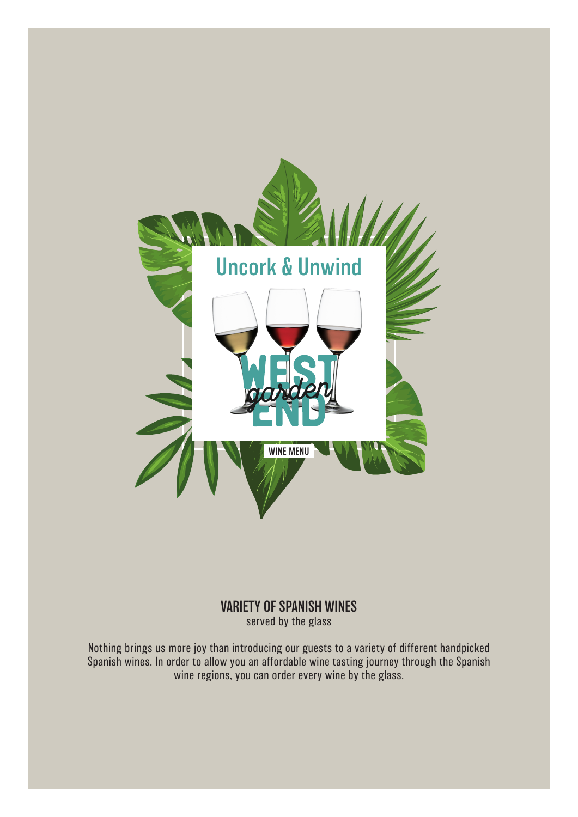

#### VARIETY OF SPANISH WINES served by the glass

Nothing brings us more joy than introducing our guests to a variety of different handpicked Spanish wines. In order to allow you an affordable wine tasting journey through the Spanish wine regions, you can order every wine by the glass.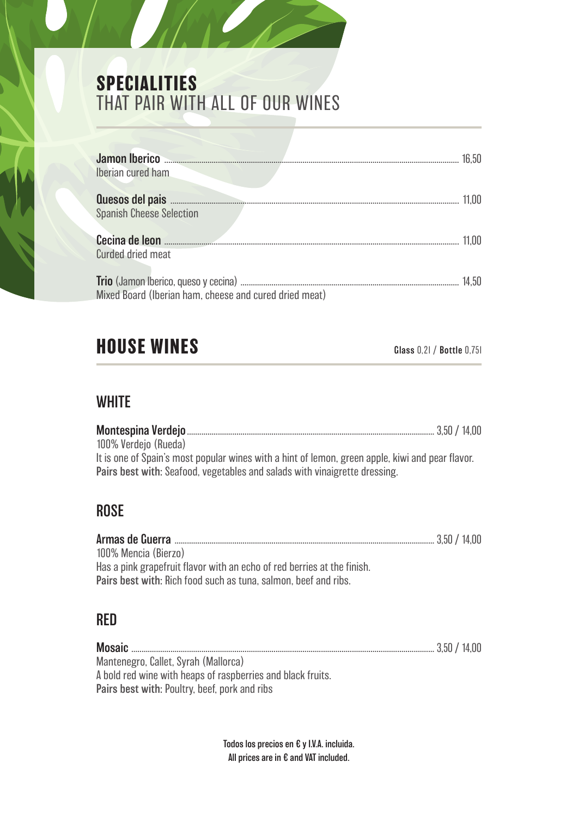# **SPECIALITIES**  THAT PAIR WITH ALL OF OUR WINES

| Jamon Iberico                                          | 16.50 |
|--------------------------------------------------------|-------|
| Iberian cured ham                                      |       |
|                                                        |       |
| <b>Spanish Cheese Selection</b>                        |       |
| Cecina de leon                                         |       |
| <b>Curded dried meat</b>                               |       |
|                                                        | 14.50 |
| Mixed Board (Iberian ham, cheese and cured dried meat) |       |

## **HOUSE WINES** Glass 0,2l / Bottle 0,75l

#### **WHITE**

|                                                                                                  | 3.50 / 14.00 |
|--------------------------------------------------------------------------------------------------|--------------|
| 100% Verdejo (Rueda)                                                                             |              |
| It is one of Spain's most popular wines with a hint of lemon, green apple, kiwi and pear flavor. |              |
| Pairs best with: Seafood, vegetables and salads with vinaigrette dressing.                       |              |

#### ROSE

| 100% Mencia (Bierzo)                                                    |  |
|-------------------------------------------------------------------------|--|
| Has a pink grapefruit flavor with an echo of red berries at the finish. |  |
| <b>Pairs best with: Rich food such as tuna, salmon, beef and ribs.</b>  |  |

#### RED

Mosaic ................................................................................................................................................... 3,50 / 14,00 Mantenegro, Callet, Syrah (Mallorca) A bold red wine with heaps of raspberries and black fruits. Pairs best with: Poultry, beef, pork and ribs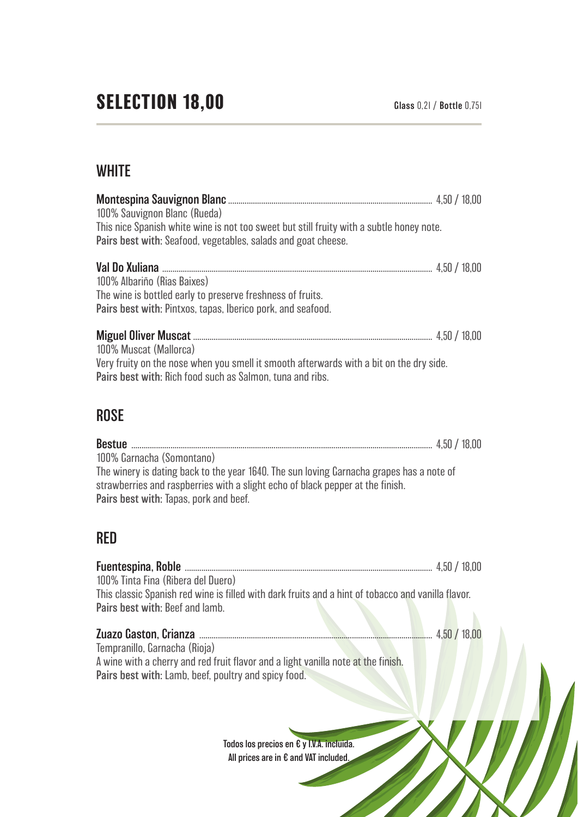### **WHITE**

| 100% Sauvignon Blanc (Rueda)<br>This nice Spanish white wine is not too sweet but still fruity with a subtle honey note.<br>Pairs best with: Seafood, vegetables, salads and goat cheese.                                                                                                                                                                                                        |  |
|--------------------------------------------------------------------------------------------------------------------------------------------------------------------------------------------------------------------------------------------------------------------------------------------------------------------------------------------------------------------------------------------------|--|
| Val Do Xuliana <b>Martin Autorita and Autority Autority and Autority and Autority and Autority and Autority and Autority and Autority and Autority and Autority and Autority and Autority and Autority and Autority and Autority</b><br>100% Albariño (Rias Baixes)<br>The wine is bottled early to preserve freshness of fruits.<br>Pairs best with: Pintxos, tapas, Iberico pork, and seafood. |  |
| 100% Muscat (Mallorca)<br>Very fruity on the nose when you smell it smooth afterwards with a bit on the dry side.<br>Pairs best with: Rich food such as Salmon, tuna and ribs.                                                                                                                                                                                                                   |  |
| <b>ROSE</b>                                                                                                                                                                                                                                                                                                                                                                                      |  |
| 100% Garnacha (Somontano)<br>The winery is dating back to the year 1640. The sun loving Garnacha grapes has a note of<br>strawberries and raspberries with a slight echo of black pepper at the finish.<br>Pairs best with: Tapas, pork and beef.                                                                                                                                                |  |
| nrn                                                                                                                                                                                                                                                                                                                                                                                              |  |

#### RED

| 100% Tinta Fina (Ribera del Duero)                                                                                                    | 4.50 / 18.00 |
|---------------------------------------------------------------------------------------------------------------------------------------|--------------|
| This classic Spanish red wine is filled with dark fruits and a hint of tobacco and vanilla flavor.<br>Pairs best with: Beef and lamb. |              |
|                                                                                                                                       | 4,50/18,00   |
| Tempranillo, Garnacha (Rioja)<br>A wine with a cherry and red fruit flavor and a light vanilla note at the finish.                    |              |
| Pairs best with: Lamb, beef, poultry and spicy food.                                                                                  |              |
|                                                                                                                                       |              |
| Todos los precios en € y I.V.A. incluida.                                                                                             |              |
| All prices are in € and VAT included.                                                                                                 |              |
|                                                                                                                                       |              |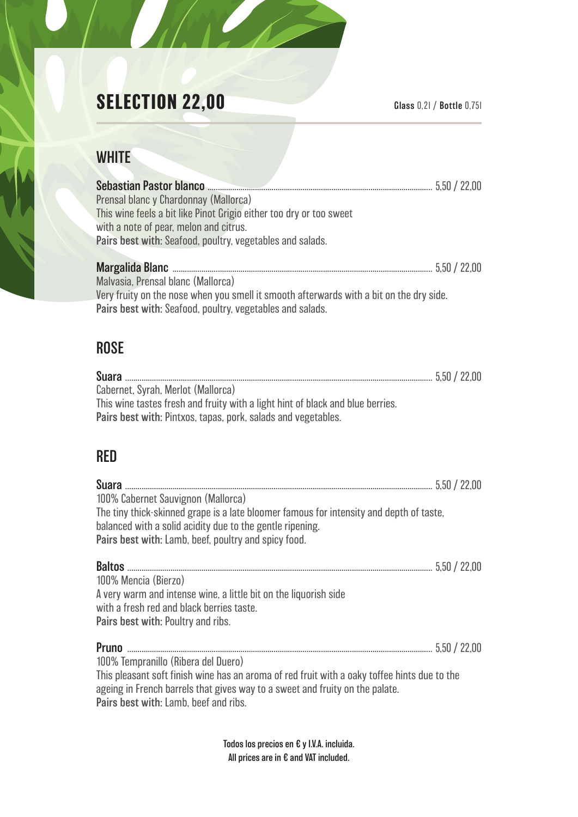# **SELECTION 22,00** Glass 0,2l / Bottle 0,75l

#### **WHITE**

| Sebastian Pastor blanco <b>Engineering Sebastian Pastor</b> blanco <b>Engineering Sebastian Pastor</b> blanco |              |
|---------------------------------------------------------------------------------------------------------------|--------------|
| Prensal blanc y Chardonnay (Mallorca)                                                                         |              |
| This wine feels a bit like Pinot Grigio either too dry or too sweet                                           |              |
| with a note of pear, melon and citrus.                                                                        |              |
| Pairs best with: Seafood, poultry, vegetables and salads.                                                     |              |
|                                                                                                               |              |
|                                                                                                               | 5.50 / 22.00 |
| Malvasia, Prensal blanc (Mallorca)                                                                            |              |
| Very fruity on the nose when you smell it smooth afterwards with a bit on the dry side.                       |              |
| Pairs best with: Seafood, poultry, vegetables and salads.                                                     |              |

#### ROSE

| Cabernet, Syrah, Merlot (Mallorca)                                             |  |
|--------------------------------------------------------------------------------|--|
| This wine tastes fresh and fruity with a light hint of black and blue berries. |  |
| Pairs best with: Pintxos, tapas, pork, salads and vegetables.                  |  |

### RED

| 100% Cabernet Sauvignon (Mallorca)                                                                                                                                                                                    |  |
|-----------------------------------------------------------------------------------------------------------------------------------------------------------------------------------------------------------------------|--|
| The tiny thick-skinned grape is a late bloomer famous for intensity and depth of taste,                                                                                                                               |  |
| balanced with a solid acidity due to the gentle ripening.                                                                                                                                                             |  |
| Pairs best with: Lamb, beef, poultry and spicy food.                                                                                                                                                                  |  |
|                                                                                                                                                                                                                       |  |
| 100% Mencia (Bierzo)                                                                                                                                                                                                  |  |
| A very warm and intense wine, a little bit on the liquorish side                                                                                                                                                      |  |
| with a fresh red and black berries taste.                                                                                                                                                                             |  |
| Pairs best with: Poultry and ribs.                                                                                                                                                                                    |  |
|                                                                                                                                                                                                                       |  |
| 100% Tempranillo (Ribera del Duero)                                                                                                                                                                                   |  |
| This pleasant soft finish wine has an aroma of red fruit with a oaky toffee hints due to the<br>ageing in French barrels that gives way to a sweet and fruity on the palate.<br>Pairs best with: Lamb, beef and ribs. |  |
|                                                                                                                                                                                                                       |  |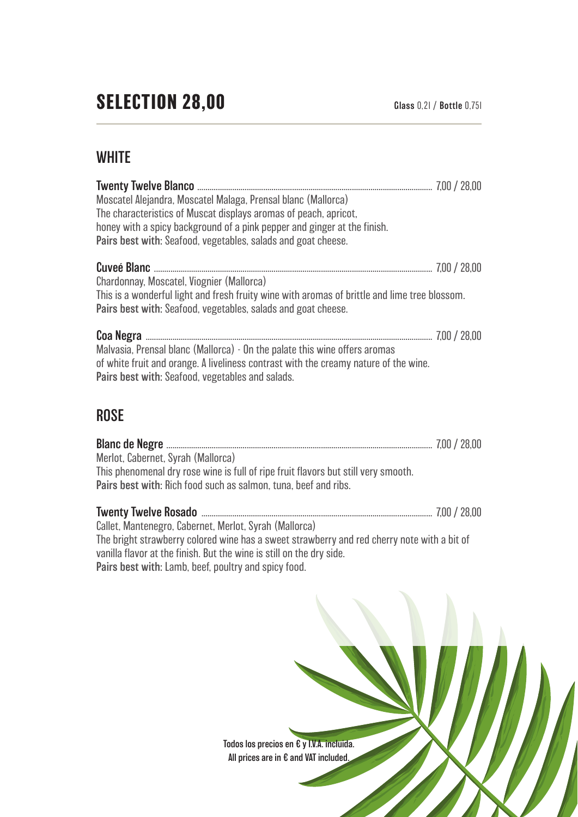#### **WHITE**

| Moscatel Alejandra, Moscatel Malaga, Prensal blanc (Mallorca)                                 |  |
|-----------------------------------------------------------------------------------------------|--|
| The characteristics of Muscat displays aromas of peach, apricot,                              |  |
| honey with a spicy background of a pink pepper and ginger at the finish.                      |  |
| Pairs best with: Seafood, vegetables, salads and goat cheese.                                 |  |
|                                                                                               |  |
| Chardonnay, Moscatel, Viognier (Mallorca)                                                     |  |
| This is a wonderful light and fresh fruity wine with aromas of brittle and lime tree blossom. |  |
| Pairs best with: Seafood, vegetables, salads and goat cheese.                                 |  |
|                                                                                               |  |
| Malvasia, Prensal blanc (Mallorca) - On the palate this wine offers aromas                    |  |
| of white fruit and orange. A liveliness contrast with the creamy nature of the wine.          |  |
| Pairs best with: Seafood, vegetables and salads.                                              |  |
|                                                                                               |  |

#### **ROSE**

| Merlot, Cabernet, Syrah (Mallorca)                                                 |  |
|------------------------------------------------------------------------------------|--|
| This phenomenal dry rose wine is full of ripe fruit flavors but still very smooth. |  |
| Pairs best with: Rich food such as salmon, tuna, beef and ribs.                    |  |
|                                                                                    |  |
|                                                                                    |  |

Callet, Mantenegro, Cabernet, Merlot, Syrah (Mallorca) The bright strawberry colored wine has a sweet strawberry and red cherry note with a bit of vanilla flavor at the finish. But the wine is still on the dry side. Pairs best with: Lamb, beef, poultry and spicy food.